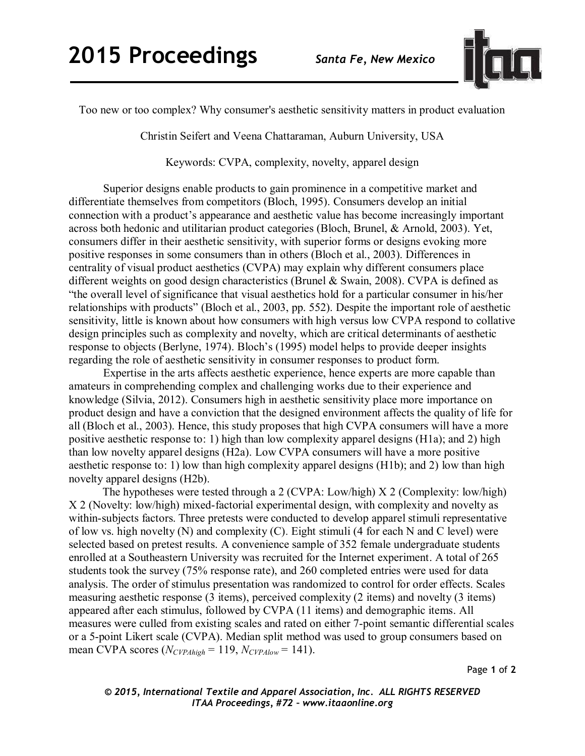

Too new or too complex? Why consumer's aesthetic sensitivity matters in product evaluation

Christin Seifert and Veena Chattaraman, Auburn University, USA

Keywords: CVPA, complexity, novelty, apparel design

Superior designs enable products to gain prominence in a competitive market and differentiate themselves from competitors (Bloch, 1995). Consumers develop an initial connection with a product's appearance and aesthetic value has become increasingly important across both hedonic and utilitarian product categories (Bloch, Brunel, & Arnold, 2003). Yet, consumers differ in their aesthetic sensitivity, with superior forms or designs evoking more positive responses in some consumers than in others (Bloch et al., 2003). Differences in centrality of visual product aesthetics (CVPA) may explain why different consumers place different weights on good design characteristics (Brunel & Swain, 2008). CVPA is defined as "the overall level of significance that visual aesthetics hold for a particular consumer in his/her relationships with products" (Bloch et al., 2003, pp. 552). Despite the important role of aesthetic sensitivity, little is known about how consumers with high versus low CVPA respond to collative design principles such as complexity and novelty, which are critical determinants of aesthetic response to objects (Berlyne, 1974). Bloch's (1995) model helps to provide deeper insights regarding the role of aesthetic sensitivity in consumer responses to product form.

Expertise in the arts affects aesthetic experience, hence experts are more capable than amateurs in comprehending complex and challenging works due to their experience and knowledge (Silvia, 2012). Consumers high in aesthetic sensitivity place more importance on product design and have a conviction that the designed environment affects the quality of life for all (Bloch et al., 2003). Hence, this study proposes that high CVPA consumers will have a more positive aesthetic response to: 1) high than low complexity apparel designs (H1a); and 2) high than low novelty apparel designs (H2a). Low CVPA consumers will have a more positive aesthetic response to: 1) low than high complexity apparel designs (H1b); and 2) low than high novelty apparel designs (H2b).

The hypotheses were tested through a 2 (CVPA: Low/high) X 2 (Complexity: low/high) X 2 (Novelty: low/high) mixed-factorial experimental design, with complexity and novelty as within-subjects factors. Three pretests were conducted to develop apparel stimuli representative of low vs. high novelty (N) and complexity (C). Eight stimuli (4 for each N and C level) were selected based on pretest results. A convenience sample of 352 female undergraduate students enrolled at a Southeastern University was recruited for the Internet experiment. A total of 265 students took the survey (75% response rate), and 260 completed entries were used for data analysis. The order of stimulus presentation was randomized to control for order effects. Scales measuring aesthetic response (3 items), perceived complexity (2 items) and novelty (3 items) appeared after each stimulus, followed by CVPA (11 items) and demographic items. All measures were culled from existing scales and rated on either 7-point semantic differential scales or a 5-point Likert scale (CVPA). Median split method was used to group consumers based on mean CVPA scores  $(N_{CVPAhigh} = 119, N_{CVPAlow} = 141)$ .

Page **1** of **2** 

*© 2015, International Textile and Apparel Association, Inc. ALL RIGHTS RESERVED ITAA Proceedings, #72 – www.itaaonline.org*